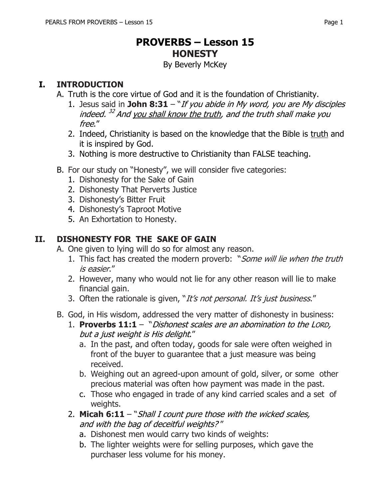# **PROVERBS – Lesson 15 HONESTY**

By Beverly McKey

#### **I. INTRODUCTION**

- A. Truth is the core virtue of God and it is the foundation of Christianity.
	- 1. Jesus said in **John 8:31** "If you abide in My word, you are My disciples indeed. <sup>32</sup> And <u>you shall know the truth</u>, and the truth shall make you free."
	- 2. Indeed, Christianity is based on the knowledge that the Bible is truth and it is inspired by God.
	- 3. Nothing is more destructive to Christianity than FALSE teaching.
- B. For our study on "Honesty", we will consider five categories:
	- 1. Dishonesty for the Sake of Gain
	- 2. Dishonesty That Perverts Justice
	- 3. Dishonesty's Bitter Fruit
	- 4. Dishonesty's Taproot Motive
	- 5. An Exhortation to Honesty.

#### **II. DISHONESTY FOR THE SAKE OF GAIN**

A. One given to lying will do so for almost any reason.

- 1. This fact has created the modern proverb: "Some will lie when the truth is easier."
- 2. However, many who would not lie for any other reason will lie to make financial gain.
- 3. Often the rationale is given, "It's not personal. It's just business."
- B. God, in His wisdom, addressed the very matter of dishonesty in business:
	- 1. **Proverbs 11:1**  "Dishonest scales are an abomination to the LORD, but a just weight is His delight."
		- a. In the past, and often today, goods for sale were often weighed in front of the buyer to guarantee that a just measure was being received.
		- b. Weighing out an agreed-upon amount of gold, silver, or some other precious material was often how payment was made in the past.
		- c. Those who engaged in trade of any kind carried scales and a set of weights.
	- 2. **Micah 6:11** "Shall I count pure those with the wicked scales, and with the bag of deceitful weights? "
		- a. Dishonest men would carry two kinds of weights:
		- b. The lighter weights were for selling purposes, which gave the purchaser less volume for his money.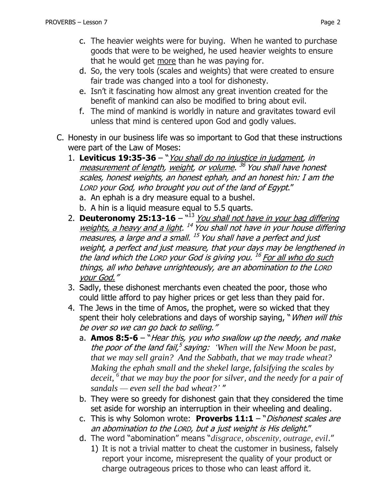- c. The heavier weights were for buying. When he wanted to purchase goods that were to be weighed, he used heavier weights to ensure that he would get more than he was paying for.
- d. So, the very tools (scales and weights) that were created to ensure fair trade was changed into a tool for dishonesty.
- e. Isn't it fascinating how almost any great invention created for the benefit of mankind can also be modified to bring about evil.
- f. The mind of mankind is worldly in nature and gravitates toward evil unless that mind is centered upon God and godly values.
- C. Honesty in our business life was so important to God that these instructions were part of the Law of Moses:
	- 1. **Leviticus 19:35-36**  "You shall do no injustice in judgment, in <u>measurement of length</u>, <u>weight</u>, or <u>volume</u>. <sup>36</sup> You shall have honest scales, honest weights, an honest ephah, and an honest hin: I am the LORD your God, who brought you out of the land of Egypt."
		- a. An ephah is a dry measure equal to a bushel.
		- b. A hin is a liquid measure equal to 5.5 quarts.
	- 2. **Deuteronomy 25:13-16** <sup>"13</sup> You shall not have in your bag differing weights, a heavy and a light. <sup>14</sup> You shall not have in your house differing measures, a large and a small. <sup>15</sup> You shall have a perfect and just weight, a perfect and just measure, that your days may be lengthened in the land which the Lorp your God is giving you. <sup>16</sup> For all who do such things, all who behave unrighteously, are an abomination to the LORD your God."
	- 3. Sadly, these dishonest merchants even cheated the poor, those who could little afford to pay higher prices or get less than they paid for.
	- 4. The Jews in the time of Amos, the prophet, were so wicked that they spent their holy celebrations and days of worship saying, "When will this be over so we can go back to selling."
		- a. **Amos 8:5-6** "Hear this, you who swallow up the needy, and make the poor of the land fail, 5 saying: *'When will the New Moon be past, that we may sell grain? And the Sabbath, that we may trade wheat? Making the ephah small and the shekel large, falsifying the scales by deceit, <sup>6</sup> that we may buy the poor for silver, and the needy for a pair of sandals — even sell the bad wheat?'* "
		- b. They were so greedy for dishonest gain that they considered the time set aside for worship an interruption in their wheeling and dealing.
		- c. This is why Solomon wrote: **Proverbs 11:1**  "Dishonest scales are an abomination to the LORD, but a just weight is His delight."
		- d. The word "abomination" means "*disgrace, obscenity, outrage, evil*."
			- 1) It is not a trivial matter to cheat the customer in business, falsely report your income, misrepresent the quality of your product or charge outrageous prices to those who can least afford it.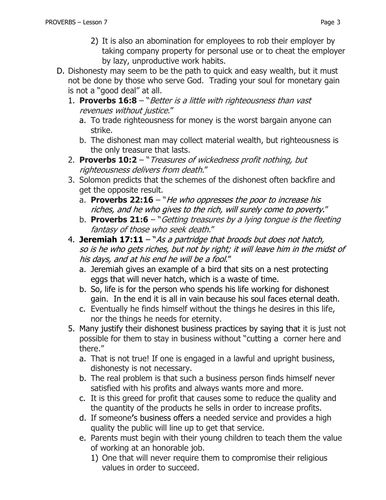- 2) It is also an abomination for employees to rob their employer by taking company property for personal use or to cheat the employer by lazy, unproductive work habits.
- D. Dishonesty may seem to be the path to quick and easy wealth, but it must not be done by those who serve God. Trading your soul for monetary gain is not a "good deal" at all.
	- 1. **Proverbs 16:8**  "Better is a little with righteousness than vast revenues without justice."
		- a. To trade righteousness for money is the worst bargain anyone can strike.
		- b. The dishonest man may collect material wealth, but righteousness is the only treasure that lasts.
	- 2. **Proverbs 10:2**  "Treasures of wickedness profit nothing, but righteousness delivers from death."
	- 3. Solomon predicts that the schemes of the dishonest often backfire and get the opposite result.
		- a. **Proverbs 22:16** "*He who oppresses the poor to increase his* riches, and he who gives to the rich, will surely come to poverty."
		- b. **Proverbs 21:6** "Getting treasures by a lying tongue is the fleeting fantasy of those who seek death."
	- 4. **Jeremiah 17:11**  "As a partridge that broods but does not hatch, so is he who gets riches, but not by right; it will leave him in the midst of his days, and at his end he will be a fool."
		- a. Jeremiah gives an example of a bird that sits on a nest protecting eggs that will never hatch, which is a waste of time.
		- b. So, life is for the person who spends his life working for dishonest gain. In the end it is all in vain because his soul faces eternal death.
		- c. Eventually he finds himself without the things he desires in this life, nor the things he needs for eternity.
	- 5. Many justify their dishonest business practices by saying that it is just not possible for them to stay in business without "cutting a corner here and there."
		- a. That is not true! If one is engaged in a lawful and upright business, dishonesty is not necessary.
		- b. The real problem is that such a business person finds himself never satisfied with his profits and always wants more and more.
		- c. It is this greed for profit that causes some to reduce the quality and the quantity of the products he sells in order to increase profits.
		- d. If someone**'**s business offers a needed service and provides a high quality the public will line up to get that service.
		- e. Parents must begin with their young children to teach them the value of working at an honorable job.
			- 1) One that will never require them to compromise their religious values in order to succeed.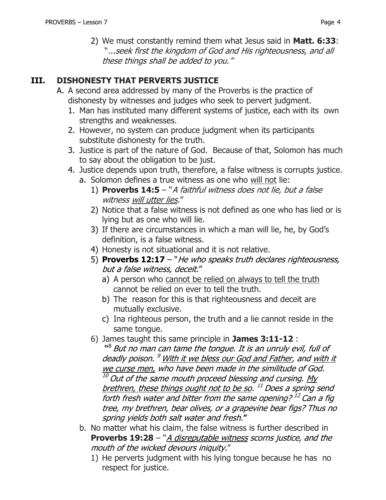2) We must constantly remind them what Jesus said in **Matt. 6:33**: "...seek first the kingdom of God and His righteousness, and all these things shall be added to you."

#### **III. DISHONESTY THAT PERVERTS JUSTICE**

- A. A second area addressed by many of the Proverbs is the practice of dishonesty by witnesses and judges who seek to pervert judgment.
	- 1. Man has instituted many different systems of justice, each with its own strengths and weaknesses.
	- 2. However, no system can produce judgment when its participants substitute dishonesty for the truth.
	- 3. Justice is part of the nature of God. Because of that, Solomon has much to say about the obligation to be just.
	- 4. Justice depends upon truth, therefore, a false witness is corrupts justice.
		- a. Solomon defines a true witness as one who will not lie:
			- 1) **Proverbs 14:5**  "A faithful witness does not lie, but a false witness will utter lies."
			- 2) Notice that a false witness is not defined as one who has lied or is lying but as one who will lie.
			- 3) If there are circumstances in which a man will lie, he, by God's definition, is a false witness.
			- 4) Honesty is not situational and it is not relative.
			- 5) **Proverbs 12:17** "He who speaks truth declares righteousness, but a false witness, deceit."
				- a) A person who cannot be relied on always to tell the truth cannot be relied on ever to tell the truth.
				- b) The reason for this is that righteousness and deceit are mutually exclusive.
				- c) Ina righteous person, the truth and a lie cannot reside in the same tongue.
			- 6) James taught this same principle in **James 3:11-12** :
				- **"** 8 But no man can tame the tongue. It is an unruly evil, full of deadly poison. <sup>9</sup> With it we bless our God and Father, and <u>with it</u> we curse men, who have been made in the similitude of God.  $10$  Out of the same mouth proceed blessing and cursing. My brethren, these things ought not to be so. <sup>11</sup> Does a spring send forth fresh water and bitter from the same opening? <sup>12</sup> Can a fig tree, my brethren, bear olives, or a grapevine bear figs? Thus no spring yields both salt water and fresh.**"**
		- b. No matter what his claim, the false witness is further described in **Proverbs 19:28** – "A disreputable witness scorns justice, and the mouth of the wicked devours iniquity."
			- 1) He perverts judgment with his lying tongue because he has no respect for justice.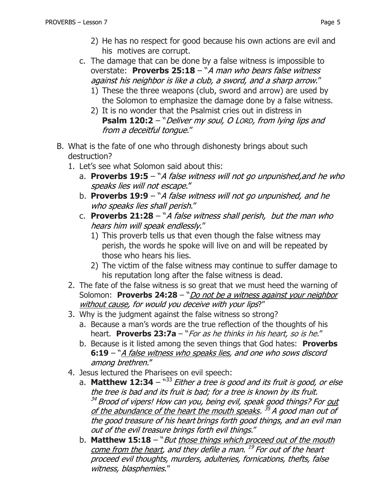- c. The damage that can be done by a false witness is impossible to overstate: **Proverbs 25:18** – "A man who bears false witness against his neighbor is like a club, a sword, and a sharp arrow."
	- 1) These the three weapons (club, sword and arrow) are used by the Solomon to emphasize the damage done by a false witness.
	- 2) It is no wonder that the Psalmist cries out in distress in **Psalm 120:2** – "Deliver my soul, O LORD, from lying lips and from a deceitful tongue."
- B. What is the fate of one who through dishonesty brings about such destruction?
	- 1. Let's see what Solomon said about this:
		- a. **Proverbs 19:5**  "A false witness will not go unpunished,and he who speaks lies will not escape."
		- b. **Proverbs 19:9**  "A false witness will not go unpunished, and he who speaks lies shall perish."
		- c. **Proverbs 21:28**  "A false witness shall perish, but the man who hears him will speak endlessly."
			- 1) This proverb tells us that even though the false witness may perish, the words he spoke will live on and will be repeated by those who hears his lies.
			- 2) The victim of the false witness may continue to suffer damage to his reputation long after the false witness is dead.
	- 2. The fate of the false witness is so great that we must heed the warning of Solomon: **Proverbs 24:28** – "Do not be a witness against your neighbor without cause, for would you deceive with your lips?"
	- 3. Why is the judgment against the false witness so strong?
		- a. Because a man's words are the true reflection of the thoughts of his heart. **Proverbs 23:7a** – "For as he thinks in his heart, so is he."
		- b. Because is it listed among the seven things that God hates: **Proverbs 6:19** – "A false witness who speaks lies, and one who sows discord among brethren."
	- 4. Jesus lectured the Pharisees on evil speech:
		- a. **Matthew 12:34**  " <sup>33</sup> Either a tree is good and its fruit is good, or else the tree is bad and its fruit is bad; for a tree is known by its fruit. <sup>34</sup> Brood of vipers! How can you, being evil, speak good things? For out of the abundance of the heart the mouth speaks. <sup>35</sup> A good man out of the good treasure of his heart brings forth good things, and an evil man out of the evil treasure brings forth evil things."
		- b. **Matthew 15:18** "But those things which proceed out of the mouth come from the heart, and they defile a man. <sup>19</sup> For out of the heart proceed evil thoughts, murders, adulteries, fornications, thefts, false witness, blasphemies."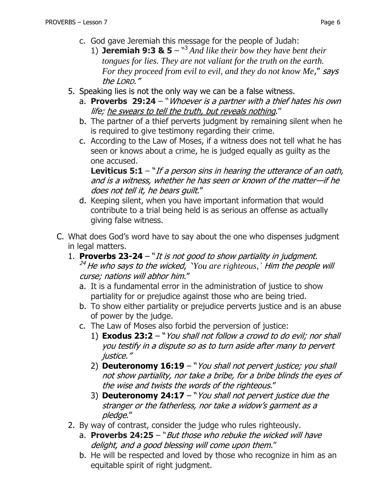- c. God gave Jeremiah this message for the people of Judah:
	- 1) **Jeremiah 9:3 & 5** " <sup>3</sup> *And like their bow they have bent their tongues for lies. They are not valiant for the truth on the earth. For they proceed from evil to evil, and they do not know Me*," says the LORD."
- 5. Speaking lies is not the only way we can be a false witness.
	- a. **Proverbs 29:24** "Whoever is a partner with a thief hates his own life; he swears to tell the truth, but reveals nothing."
	- b. The partner of a thief perverts judgment by remaining silent when he is required to give testimony regarding their crime.
	- c. According to the Law of Moses, if a witness does not tell what he has seen or knows about a crime, he is judged equally as guilty as the one accused.

**Leviticus 5:1** – "If a person sins in hearing the utterance of an oath, and is a witness, whether he has seen or known of the matter—if he does not tell it, he bears guilt."

- d. Keeping silent, when you have important information that would contribute to a trial being held is as serious an offense as actually giving false witness.
- C. What does God's word have to say about the one who dispenses judgment in legal matters.
	- 1. **Proverbs 23-24**  "It is not good to show partiality in judgment. <sup>24</sup> He who says to the wicked, '*You are righteous,'* Him the people will curse; nations will abhor him."
		- a. It is a fundamental error in the administration of justice to show partiality for or prejudice against those who are being tried.
		- b. To show either partiality or prejudice perverts justice and is an abuse of power by the judge.
		- c. The Law of Moses also forbid the perversion of justice:
			- 1) **[Exodus 23:2](https://www.biblegateway.com/passage/?search=Exodus+23:2&version=NKJV)** "You shall not follow a crowd to do evil; nor shall you testify in a dispute so as to turn aside after many to pervert justice."
			- 2) **Deuteronomy 16:19**  "You shall not pervert justice; you shall not show partiality, nor take a bribe, for a bribe blinds the eyes of the wise and twists the words of the righteous."
			- 3) **Deuteronomy 24:17**  "You shall not pervert justice due the stranger or the fatherless, nor take a widow's garment as a pledge."
	- 2. By way of contrast, consider the judge who rules righteously.
		- a. **Proverbs 24:25** "But those who rebuke the wicked will have delight, and a good blessing will come upon them."
		- b. He will be respected and loved by those who recognize in him as an equitable spirit of right judgment.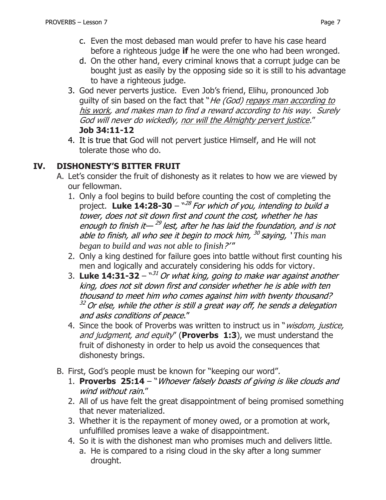- c. Even the most debased man would prefer to have his case heard before a righteous judge **if** he were the one who had been wronged.
- d. On the other hand, every criminal knows that a corrupt judge can be bought just as easily by the opposing side so it is still to his advantage to have a righteous judge.
- 3. God never perverts justice. Even Job's friend, Elihu, pronounced Job guilty of sin based on the fact that "He (God) repays man according to his work, and makes man to find a reward according to his way. Surely God will never do wickedly, nor will the Almighty pervert justice." **Job 34:11-12**
- 4. It is true that God will not pervert justice Himself, and He will not tolerate those who do.

### **IV. DISHONESTY'S BITTER FRUIT**

- A. Let's consider the fruit of dishonesty as it relates to how we are viewed by our fellowman.
	- 1. Only a fool begins to build before counting the cost of completing the project. **Luke 14:28-30** – "<sup>28</sup> For which of you, intending to build a tower, does not sit down first and count the cost, whether he has enough to finish it—<sup>29</sup> lest, after he has laid the foundation, and is not able to finish, all who see it begin to mock him, 30 saying, ' *This man began to build and was not able to finish*?' "
	- 2. Only a king destined for failure goes into battle without first counting his men and logically and accurately considering his odds for victory.
	- 3. Luke 14:31-32  $^{\text{w31}}$  Or what king, going to make war against another king, does not sit down first and consider whether he is able with ten thousand to meet him who comes against him with twenty thousand?  $32$  Or else, while the other is still a great way off, he sends a delegation and asks conditions of peace."
	- 4. Since the book of Proverbs was written to instruct us in "*wisdom, justice,* and judgment, and equity" (**Proverbs 1:3**), we must understand the fruit of dishonesty in order to help us avoid the consequences that dishonesty brings.
- B. First, God's people must be known for "keeping our word".
	- 1. **Proverbs 25:14** "Whoever falsely boasts of giving is like clouds and wind without rain."
	- 2. All of us have felt the great disappointment of being promised something that never materialized.
	- 3. Whether it is the repayment of money owed, or a promotion at work, unfulfilled promises leave a wake of disappointment.
	- 4. So it is with the dishonest man who promises much and delivers little. a. He is compared to a rising cloud in the sky after a long summer drought.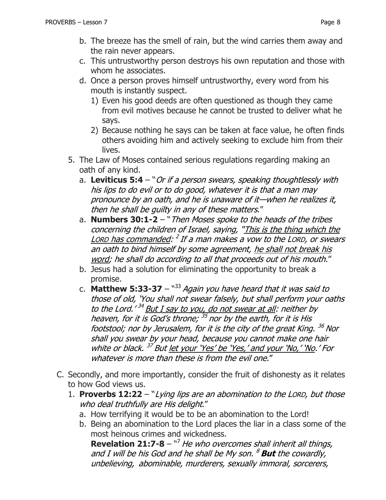- b. The breeze has the smell of rain, but the wind carries them away and the rain never appears.
- c. This untrustworthy person destroys his own reputation and those with whom he associates.
- d. Once a person proves himself untrustworthy, every word from his mouth is instantly suspect.
	- 1) Even his good deeds are often questioned as though they came from evil motives because he cannot be trusted to deliver what he says.
	- 2) Because nothing he says can be taken at face value, he often finds others avoiding him and actively seeking to exclude him from their lives.
- 5. The Law of Moses contained serious regulations regarding making an oath of any kind.
	- a. **Leviticus 5:4**  "Or if a person swears, speaking thoughtlessly with his lips to do evil or to do good, whatever it is that a man may pronounce by an oath, and he is unaware of it—when he realizes it, then he shall be guilty in any of these matters."
	- a. **Numbers 30:1-2** "Then Moses spoke to the heads of the tribes concerning the children of Israel, saying, "This is the thing which the Lorp has commanded: <sup>2</sup> If a man makes a vow to the Lorp, or swears an oath to bind himself by some agreement, he shall not break his word; he shall do according to all that proceeds out of his mouth."
	- b. Jesus had a solution for eliminating the opportunity to break a promise.
	- c. **Matthew 5:33-37**  $^{\text{w33}}$  Again you have heard that it was said to those of old, 'You shall not swear falsely, but shall perform your oaths to the Lord.'<sup>34</sup> But I say to you, do not swear at all: neither by heaven, for it is God's throne; <sup>35</sup> nor by the earth, for it is His footstool; nor by Jerusalem, for it is the city of the great King. <sup>36</sup> Nor shall you swear by your head, because you cannot make one hair white or black.<sup>37</sup> But <u>let your 'Yes' be 'Yes,' and your 'No,' 'No</u>.' For whatever is more than these is from the evil one."
- C. Secondly, and more importantly, consider the fruit of dishonesty as it relates to how God views us.
	- 1. **Proverbs 12:22**  "Lying lips are an abomination to the LORD, but those who deal truthfully are His delight."
		- a. How terrifying it would be to be an abomination to the Lord!
		- b. Being an abomination to the Lord places the liar in a class some of the most heinous crimes and wickedness.

**Revelation 21:7-8** – <sup>17</sup> He who overcomes shall inherit all things, and I will be his God and he shall be My son. <sup>8</sup> **But** the cowardly, unbelieving, abominable, murderers, sexually immoral, sorcerers,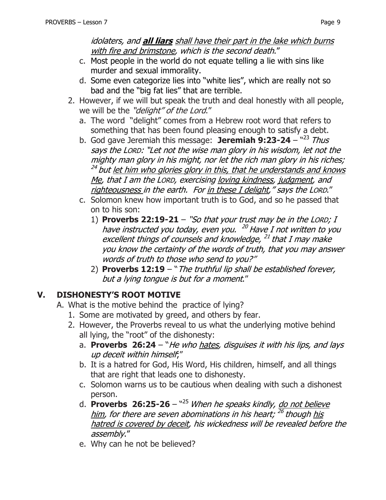idolaters, and **all liars** shall have their part in the lake which burns with fire and brimstone, which is the second death."

- c. Most people in the world do not equate telling a lie with sins like murder and sexual immorality.
- d. Some even categorize lies into "white lies", which are really not so bad and the "big fat lies" that are terrible.
- 2. However, if we will but speak the truth and deal honestly with all people, we will be the "delight" of the Lord."
	- a. The word "delight" comes from a Hebrew root word that refers to something that has been found pleasing enough to satisfy a debt.
	- b. God gave Jeremiah this message: **Jeremiah 9:23-24** <sup>~23</sup> Thus says the LORD: "Let not the wise man glory in his wisdom, let not the mighty man glory in his might, nor let the rich man glory in his riches; <sup>24</sup> but <u>let him who glories glory in this, that he understands and knows</u> Me, that I am the LORD, exercising loving kindness, judgment, and righteousness in the earth. For in these I delight," says the LORD."
	- c. Solomon knew how important truth is to God, and so he passed that on to his son:
		- 1) **Proverbs 22:19-21**  "So that your trust may be in the LORD; I have instructed you today, even you. <sup>20</sup> Have I not written to you excellent things of counsels and knowledge, <sup>21</sup> that I may make you know the certainty of the words of truth, that you may answer words of truth to those who send to you?"
		- 2) **Proverbs 12:19** "The truthful lip shall be established forever, but a lying tongue is but for a moment."

## **V. DISHONESTY'S ROOT MOTIVE**

- A. What is the motive behind the practice of lying?
	- 1. Some are motivated by greed, and others by fear.
	- 2. However, the Proverbs reveal to us what the underlying motive behind all lying, the "root" of the dishonesty:
		- a. **Proverbs 26:24** "He who hates, disguises it with his lips, and lays up deceit within himself;"
		- b. It is a hatred for God, His Word, His children, himself, and all things that are right that leads one to dishonesty.
		- c. Solomon warns us to be cautious when dealing with such a dishonest person.
		- d. **Proverbs 26:25-26** "<sup>25</sup> When he speaks kindly, <u>do not believe</u> <u>him</u>, for there are seven abominations in his heart; <sup>26</sup> though <u>his</u> hatred is covered by deceit, his wickedness will be revealed before the assembly."
		- e. Why can he not be believed?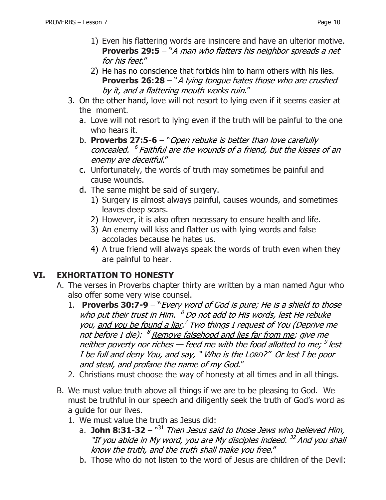- 1) Even his flattering words are insincere and have an ulterior motive. **Proverbs 29:5** – "A man who flatters his neighbor spreads a net for his feet."
- 2) He has no conscience that forbids him to harm others with his lies. **Proverbs 26:28** – "A lying tongue hates those who are crushed by it, and a flattering mouth works ruin."
- 3. On the other hand, love will not resort to lying even if it seems easier at the moment.
	- a. Love will not resort to lying even if the truth will be painful to the one who hears it.
	- b. **Proverbs 27:5-6** "Open rebuke is better than love carefully concealed. 6 Faithful are the wounds of a friend, but the kisses of an enemy are deceitful."
	- c. Unfortunately, the words of truth may sometimes be painful and cause wounds.
	- d. The same might be said of surgery.
		- 1) Surgery is almost always painful, causes wounds, and sometimes leaves deep scars.
		- 2) However, it is also often necessary to ensure health and life.
		- 3) An enemy will kiss and flatter us with lying words and false accolades because he hates us.
		- 4) A true friend will always speak the words of truth even when they are painful to hear.

## **VI. EXHORTATION TO HONESTY**

- A. The verses in Proverbs chapter thirty are written by a man named Agur who also offer some very wise counsel.
	- 1. **Proverbs 30:7-9** "*Every word of God is pure; He is a shield to those* who put their trust in Him. <sup>6</sup> Do not add to His words, lest He rebuke you, and you be found a liar.<sup>7</sup> Two things I request of You (Deprive me not before I die): <sup>8</sup> <u>Remove falsehood and lies far from me</u>; give me neither poverty nor riches — feed me with the food allotted to me; <sup>9</sup> lest I be full and deny You, and say, " Who is the LORD?" Or lest I be poor and steal, and profane the name of my God."
	- 2. Christians must choose the way of honesty at all times and in all things.
- B. We must value truth above all things if we are to be pleasing to God. We must be truthful in our speech and diligently seek the truth of God's word as a guide for our lives.
	- 1. We must value the truth as Jesus did:
		- a. **John 8:31-32** "<sup>31</sup> Then Jesus said to those Jews who believed Him, "If you abide in My word, you are My disciples indeed. <sup>32</sup> And <u>you shall</u> know the truth, and the truth shall make you free."
		- b. Those who do not listen to the word of Jesus are children of the Devil: